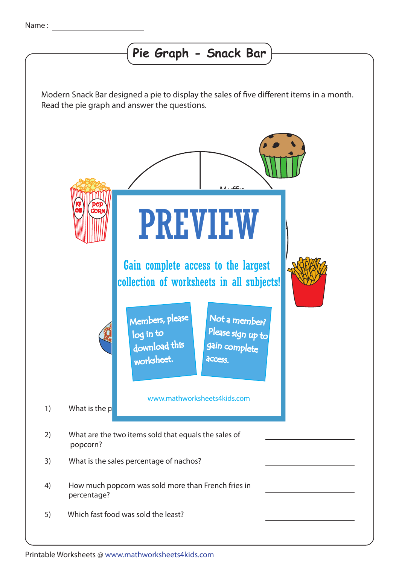